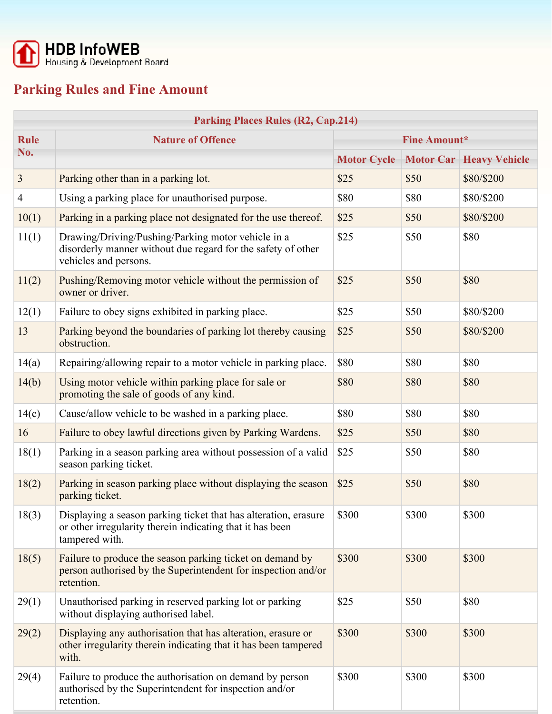

## **Parking Rules and Fine Amount**

| <b>Parking Places Rules (R2, Cap.214)</b> |                                                                                                                                                |                     |       |                                  |  |  |  |
|-------------------------------------------|------------------------------------------------------------------------------------------------------------------------------------------------|---------------------|-------|----------------------------------|--|--|--|
| <b>Rule</b>                               | <b>Nature of Offence</b>                                                                                                                       | <b>Fine Amount*</b> |       |                                  |  |  |  |
| No.                                       |                                                                                                                                                | <b>Motor Cycle</b>  |       | <b>Motor Car   Heavy Vehicle</b> |  |  |  |
| 3                                         | Parking other than in a parking lot.                                                                                                           | \$25                | \$50  | \$80/\$200                       |  |  |  |
| 4                                         | Using a parking place for unauthorised purpose.                                                                                                | \$80                | \$80  | \$80/\$200                       |  |  |  |
| 10(1)                                     | Parking in a parking place not designated for the use thereof.                                                                                 | \$25                | \$50  | \$80/\$200                       |  |  |  |
| 11(1)                                     | Drawing/Driving/Pushing/Parking motor vehicle in a<br>disorderly manner without due regard for the safety of other<br>vehicles and persons.    | \$25                | \$50  | \$80                             |  |  |  |
| 11(2)                                     | Pushing/Removing motor vehicle without the permission of<br>owner or driver.                                                                   | \$25                | \$50  | \$80                             |  |  |  |
| 12(1)                                     | Failure to obey signs exhibited in parking place.                                                                                              | \$25                | \$50  | \$80/\$200                       |  |  |  |
| 13                                        | Parking beyond the boundaries of parking lot thereby causing<br>obstruction.                                                                   | \$25                | \$50  | \$80/\$200                       |  |  |  |
| 14(a)                                     | Repairing/allowing repair to a motor vehicle in parking place.                                                                                 | \$80                | \$80  | \$80                             |  |  |  |
| 14(b)                                     | Using motor vehicle within parking place for sale or<br>promoting the sale of goods of any kind.                                               | \$80                | \$80  | \$80                             |  |  |  |
| 14(c)                                     | Cause/allow vehicle to be washed in a parking place.                                                                                           | \$80                | \$80  | \$80                             |  |  |  |
| 16                                        | Failure to obey lawful directions given by Parking Wardens.                                                                                    | \$25                | \$50  | \$80                             |  |  |  |
| 18(1)                                     | Parking in a season parking area without possession of a valid<br>season parking ticket.                                                       | \$25                | \$50  | \$80                             |  |  |  |
| 18(2)                                     | Parking in season parking place without displaying the season<br>parking ticket.                                                               | \$25                | \$50  | \$80                             |  |  |  |
| 18(3)                                     | Displaying a season parking ticket that has alteration, erasure<br>or other irregularity therein indicating that it has been<br>tampered with. | \$300               | \$300 | \$300                            |  |  |  |
| 18(5)                                     | Failure to produce the season parking ticket on demand by<br>person authorised by the Superintendent for inspection and/or<br>retention.       | \$300               | \$300 | \$300                            |  |  |  |
| 29(1)                                     | Unauthorised parking in reserved parking lot or parking<br>without displaying authorised label.                                                | \$25                | \$50  | \$80                             |  |  |  |
| 29(2)                                     | Displaying any authorisation that has alteration, erasure or<br>other irregularity therein indicating that it has been tampered<br>with.       | \$300               | \$300 | \$300                            |  |  |  |
| 29(4)                                     | Failure to produce the authorisation on demand by person<br>authorised by the Superintendent for inspection and/or<br>retention.               | \$300               | \$300 | \$300                            |  |  |  |